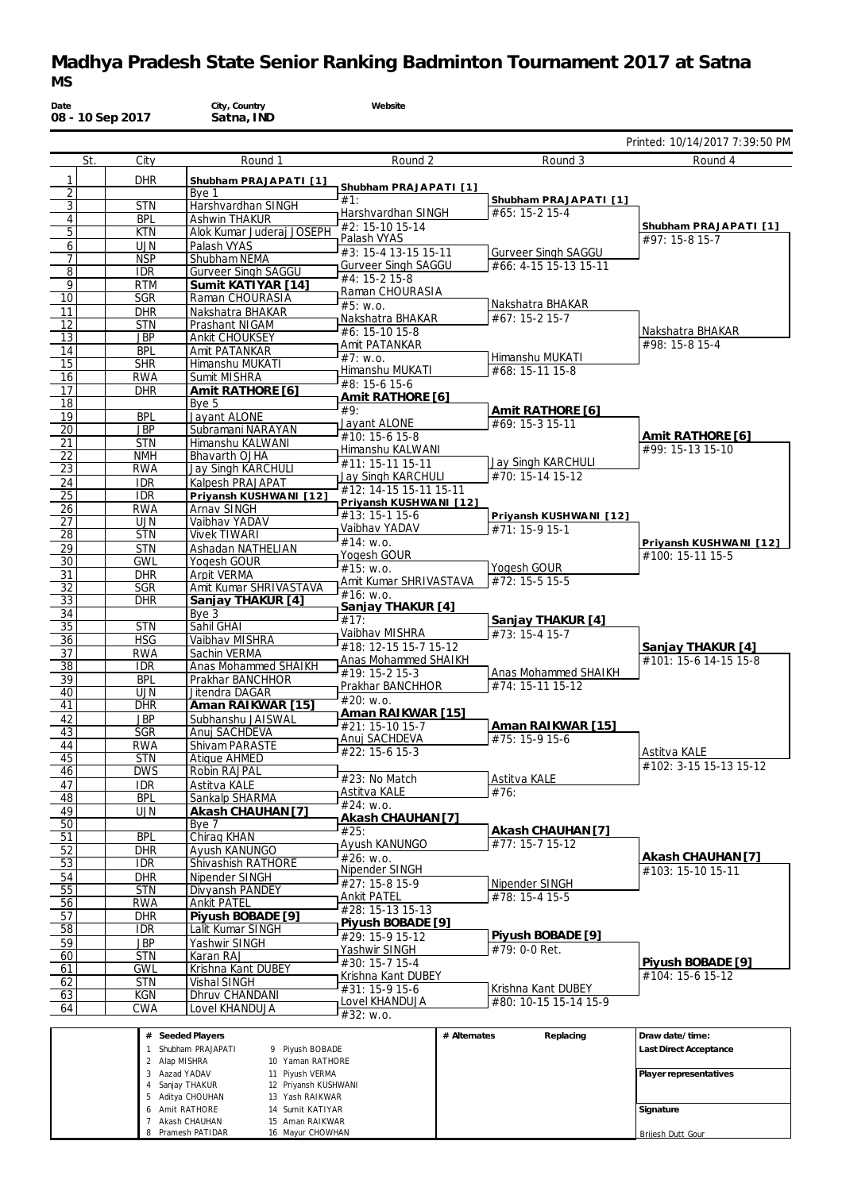### **Madhya Pradesh State Senior Ranking Badminton Tournament 2017 at Satna** *MS*

| Date                  | 08 - 10 Sep 2017 |                          | City, Country<br>Satna, IND              | Website                                            |                                                     |                                            |
|-----------------------|------------------|--------------------------|------------------------------------------|----------------------------------------------------|-----------------------------------------------------|--------------------------------------------|
|                       |                  |                          |                                          |                                                    |                                                     | Printed: 10/14/2017 7:39:50 PM             |
|                       | St.              | City                     | Round 1                                  | Round 2                                            | Round 3                                             | Round 4                                    |
| 1                     |                  | <b>DHR</b>               | Shubham PRAJAPATI [1]                    | Shubham PRAJAPATI [1]                              |                                                     |                                            |
| $\overline{2}$        |                  |                          | Bye 1                                    | #1:                                                | Shubham PRAJAPATI [1]                               |                                            |
| $\overline{3}$        |                  | <b>STN</b><br><b>BPL</b> | Harshvardhan SINGH<br>Ashwin THAKUR      | Harshvardhan SINGH                                 | #65: 15-2 15-4                                      |                                            |
| $\overline{4}$<br>5   |                  | <b>KTN</b>               | Alok Kumar Juderaj JOSEPH                | #2: 15-10 15-14                                    |                                                     | Shubham PRAJAPATI [1]                      |
| 6                     |                  | <b>UJN</b>               | Palash VYAS                              | Palash VYAS                                        |                                                     | #97: 15-8 15-7                             |
| 7                     |                  | <b>NSP</b>               | Shubham NEMA                             | #3: 15-4 13-15 15-11<br><b>Gurveer Singh SAGGU</b> | <b>Gurveer Singh SAGGU</b><br>#66: 4-15 15-13 15-11 |                                            |
| 8                     |                  | <b>IDR</b>               | <b>Gurveer Singh SAGGU</b>               | #4: 15-2 15-8                                      |                                                     |                                            |
| $\overline{9}$<br>10  |                  | <b>RTM</b><br><b>SGR</b> | Sumit KATIYAR [14]                       | Raman CHOURASIA                                    |                                                     |                                            |
| 11                    |                  | <b>DHR</b>               | Raman CHOURASIA<br>Nakshatra BHAKAR      | #5: W.0.                                           | Nakshatra BHAKAR                                    |                                            |
| 12                    |                  | <b>STN</b>               | Prashant NIGAM                           | Nakshatra BHAKAR                                   | #67: 15-2 15-7                                      |                                            |
| 13                    |                  | <b>JBP</b>               | Ankit CHOUKSEY                           | #6: 15-10 15-8<br>Amit PATANKAR                    |                                                     | Nakshatra BHAKAR<br>#98: 15-8 15-4         |
| 14                    |                  | <b>BPL</b>               | Amit PATANKAR                            | $#7:$ W.O.                                         | Himanshu MUKATI                                     |                                            |
| 15                    |                  | <b>SHR</b><br><b>RWA</b> | Himanshu MUKATI<br>Sumit MISHRA          | Himanshu MUKATI                                    | #68: 15-11 15-8                                     |                                            |
| 16<br>17              |                  | <b>DHR</b>               | Amit RATHORE [6]                         | #8: 15-6 15-6                                      |                                                     |                                            |
| 18                    |                  |                          | Bye 5                                    | Amit RATHORE [6]                                   |                                                     |                                            |
| 19                    |                  | <b>BPL</b>               | Jayant ALONE                             | #9:<br>Jayant ALONE                                | Amit RATHORE [6]<br>#69: 15-3 15-11                 |                                            |
| 20                    |                  | <b>JBP</b>               | Subramani NARAYAN                        | #10: 15-6 15-8                                     |                                                     | Amit RATHORE [6]                           |
| 21                    |                  | <b>STN</b>               | Himanshu KALWANI                         | Himanshu KALWANI                                   |                                                     | #99: 15-13 15-10                           |
| 22<br>23              |                  | <b>NMH</b><br><b>RWA</b> | Bhavarth OJHA<br>Jay Singh KARCHULI      | #11: 15-11 15-11                                   | Jay Singh KARCHULI                                  |                                            |
| 24                    |                  | <b>IDR</b>               | Kalpesh PRAJAPAT                         | Jay Singh KARCHULI                                 | #70: 15-14 15-12                                    |                                            |
| $\overline{25}$       |                  | <b>IDR</b>               | Priyansh KUSHWANI [12]                   | #12: 14-15 15-11 15-11                             |                                                     |                                            |
| 26                    |                  | <b>RWA</b>               | Arnav SINGH                              | Priyansh KUSHWANI [12]<br>#13: 15-1 15-6           | Priyansh KUSHWANI [12]                              |                                            |
| $\overline{27}$       |                  | <b>UJN</b>               | Vaibhav YADAV                            | Vaibhav YADAV                                      | #71: 15-9 15-1                                      |                                            |
| 28<br>29              |                  | <b>STN</b><br><b>STN</b> | <b>Vivek TIWARI</b><br>Ashadan NATHELIAN | #14: W.0.                                          |                                                     | Priyansh KUSHWANI [12]                     |
| $\overline{30}$       |                  | <b>GWL</b>               | Yogesh GOUR                              | Yogesh GOUR                                        |                                                     | #100: 15-11 15-5                           |
| 31                    |                  | <b>DHR</b>               | Arpit VERMA                              | #15: W.0.                                          | Yogesh GOUR<br>#72: 15-5 15-5                       |                                            |
| 32                    |                  | <b>SGR</b>               | Amit Kumar SHRIVASTAVA                   | Amit Kumar SHRIVASTAVA<br>#16: w.o.                |                                                     |                                            |
| 33                    |                  | <b>DHR</b>               | Sanjay THAKUR [4]                        | Sanjay THAKUR [4]                                  |                                                     |                                            |
| 34<br>$\overline{35}$ |                  | <b>STN</b>               | Bye 3<br>Sahil GHAI                      | #17:                                               | Sanjay THAKUR [4]                                   |                                            |
| 36                    |                  | <b>HSG</b>               | Vaibhav MISHRA                           | Vaibhav MISHRA                                     | $#73: 15-415-7$                                     |                                            |
| 37                    |                  | <b>RWA</b>               | Sachin VERMA                             | #18: 12-15 15-7 15-12<br>Anas Mohammed SHAIKH      |                                                     | Sanjay THAKUR [4]<br>#101: 15-6 14-15 15-8 |
| 38                    |                  | <b>IDR</b>               | Anas Mohammed SHAIKH                     | #19: 15-2 15-3                                     | Anas Mohammed SHAIKH                                |                                            |
| 39<br>40              |                  | <b>BPL</b>               | Prakhar BANCHHOR<br>Jitendra DAGAR       | Prakhar BANCHHOR                                   | #74: 15-11 15-12                                    |                                            |
| 41                    |                  | <b>UJN</b><br><b>DHR</b> | Aman RAIKWAR [15]                        | #20: w.o.                                          |                                                     |                                            |
| 42                    |                  | <b>JBP</b>               | Subhanshu JAISWAL                        | Aman RAIKWAR [15]                                  |                                                     |                                            |
| 43                    |                  | SGR                      | Anuj SACHDEVA                            | #21: 15-10 15-7<br>Anuj SACHDEVA                   | Aman RAIKWAR [15]<br>#75: 15-9 15-6                 |                                            |
| 44                    |                  | <b>RWA</b>               | Shivam PARASTE                           | #22: 15-6 15-3                                     |                                                     | Astitva KALE                               |
| 45<br>46              |                  | <b>STN</b><br><b>DWS</b> | <b>Atique AHMED</b><br>Robin RAJPAL      |                                                    |                                                     | #102: 3-15 15-13 15-12                     |
| 47                    |                  | <b>IDR</b>               | Astitva KALE                             | #23: No Match                                      | Astitva KALE                                        |                                            |
| 48                    |                  | <b>BPL</b>               | Sankalp SHARMA                           | Astitva KALE                                       | #76:                                                |                                            |
| 49                    |                  | <b>UJN</b>               | Akash CHAUHAN [7]                        | #24: w.o.<br>Akash CHAUHAN [7]                     |                                                     |                                            |
| $\overline{50}$       |                  |                          | Bye 7                                    | #25:                                               | Akash CHAUHAN [7]                                   |                                            |
| 51                    |                  | <b>BPL</b><br><b>DHR</b> | Chirag KHAN<br>Avush KANUNGO             | Ayush KANUNGO                                      | #77: 15-7 15-12                                     |                                            |
| 52<br>53              |                  | IDR.                     | Shivashish RATHORE                       | #26: w.o.                                          |                                                     | Akash CHAUHAN [7]                          |
| 54                    |                  | <b>DHR</b>               | Nipender SINGH                           | Nipender SINGH                                     |                                                     | #103: 15-10 15-11                          |
| 55                    |                  | <b>STN</b>               | Divyansh PANDEY                          | #27: 15-8 15-9<br><b>Ankit PATEL</b>               | Nipender SINGH<br>#78: 15-4 15-5                    |                                            |
| 56                    |                  | <b>RWA</b>               | <b>Ankit PATEL</b>                       | #28: 15-13 15-13                                   |                                                     |                                            |
| 57                    |                  | <b>DHR</b>               | Piyush BOBADE [9]                        | Piyush BOBADE [9]                                  |                                                     |                                            |
| 58<br>59              |                  | <b>IDR</b><br><b>JBP</b> | Lalit Kumar SINGH<br>Yashwir SINGH       | #29: 15-9 15-12                                    | Piyush BOBADE [9]                                   |                                            |
| 60                    |                  | <b>STN</b>               | Karan RAJ                                | Yashwir SINGH                                      | #79: 0-0 Ret.                                       |                                            |
| 61                    |                  | <b>GWL</b>               | Krishna Kant DUBEY                       | #30: 15-7 15-4                                     |                                                     | Piyush BOBADE [9]<br>#104: 15-6 15-12      |
| 62                    |                  | <b>STN</b>               | Vishal SINGH                             | Krishna Kant DUBEY<br>#31: 15-9 15-6               | Krishna Kant DUBEY                                  |                                            |
| 63                    |                  | <b>KGN</b>               | Dhruv CHANDANI                           | Lovel KHANDUJA                                     | #80: 10-15 15-14 15-9                               |                                            |
| 64                    |                  | <b>CWA</b>               | Lovel KHANDUJA                           | #32: W.0.                                          |                                                     |                                            |
|                       |                  |                          | # Seeded Players                         |                                                    | Replacing<br># Alternates                           | Draw date/time:                            |
|                       |                  |                          | 1 Shubham PRAJAPATI<br>9 Piyush BOBADE   |                                                    |                                                     | Last Direct Acceptance                     |
|                       |                  | 2 Alap MISHRA            | 10 Yaman RATHORE                         |                                                    |                                                     |                                            |

Aazad YADAV Sanjay THAKUR Aditya CHOUHAN Amit RATHORE Akash CHAUHAN Pramesh PATIDAR Piyush VERMA Priyansh KUSHWANI Yash RAIKWAR Sumit KATIYAR Aman RAIKWAR Mayur CHOWHAN **Player representatives Signature** Brijesh Dutt Gour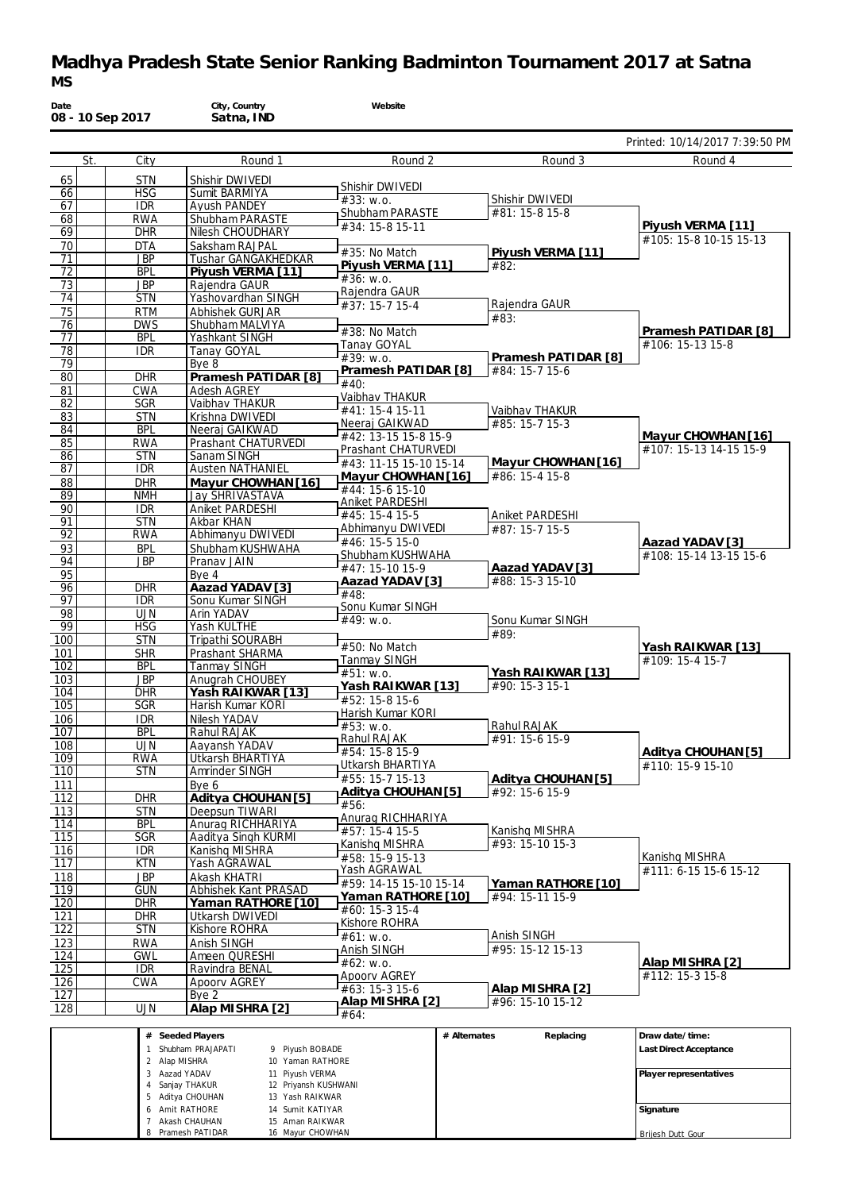# **Madhya Pradesh State Senior Ranking Badminton Tournament 2017 at Satna** *MS*

| Date            | 08 - 10 Sep 2017         | City, Country<br>Satna, IND                  | Website                           |                                    |                                |
|-----------------|--------------------------|----------------------------------------------|-----------------------------------|------------------------------------|--------------------------------|
|                 |                          |                                              |                                   |                                    | Printed: 10/14/2017 7:39:50 PM |
|                 | St.<br>City              | Round 1                                      | Round 2                           | Round 3                            | Round 4                        |
| 65              | <b>STN</b>               | Shishir DWIVEDI                              | Shishir DWIVEDI                   |                                    |                                |
| 66              | <b>HSG</b>               | Sumit BARMIYA                                | #33: W.0.                         | Shishir DWIVEDI                    |                                |
| 67<br>68        | <b>IDR</b><br><b>RWA</b> | Ayush PANDEY<br>Shubham PARASTE              | Shubham PARASTE                   | #81: 15-8 15-8                     |                                |
| 69              | <b>DHR</b>               | Nilesh CHOUDHARY                             | #34: 15-8 15-11                   |                                    | Piyush VERMA [11]              |
| 70              | <b>DTA</b>               | Saksham RAJPAL                               |                                   |                                    | #105: 15-8 10-15 15-13         |
| 71              | <b>JBP</b>               | Tushar GANGAKHEDKAR                          | #35: No Match                     | Piyush VERMA [11]                  |                                |
| 72              | <b>BPL</b>               | Piyush VERMA [11]                            | Piyush VERMA [11]<br>#36: W.0.    | #82:                               |                                |
| 73              | <b>JBP</b>               | Rajendra GAUR                                | Rajendra GAUR                     |                                    |                                |
| 74              | <b>STN</b>               | Yashovardhan SINGH                           | #37: 15-7 15-4                    | Rajendra GAUR                      |                                |
| 75              | <b>RTM</b><br><b>DWS</b> | Abhishek GURJAR<br>Shubham MALVIYA           |                                   | #83:                               |                                |
| 76<br>77        | <b>BPL</b>               | Yashkant SINGH                               | #38: No Match                     |                                    | Pramesh PATIDAR [8]            |
| 78              | <b>IDR</b>               | Tanay GOYAL                                  | Tanay GOYAL                       |                                    | #106: 15-13 15-8               |
| $\overline{79}$ |                          | Bye 8                                        | #39: W.0.                         | Pramesh PATIDAR [8]                |                                |
| 80              | <b>DHR</b>               | Pramesh PATIDAR [8]                          | Pramesh PATIDAR [8]               | #84: 15-7 15-6                     |                                |
| 81              | <b>CWA</b>               | <b>Adesh AGREY</b>                           | #40:                              |                                    |                                |
| 82              | <b>SGR</b>               | Vaibhav THAKUR                               | Vaibhav THAKUR<br>#41: 15-4 15-11 |                                    |                                |
| 83              | <b>STN</b>               | Krishna DWIVEDI                              | Neeraj GAIKWAD                    | Vaibhav THAKUR<br>#85: 15-7 15-3   |                                |
| 84              | <b>BPL</b>               | Neeraj GAIKWAD                               | #42: 13-15 15-8 15-9              |                                    | Mayur CHOWHAN [16]             |
| 85              | <b>RWA</b>               | Prashant CHATURVEDI                          | Prashant CHATURVEDI               |                                    | #107: 15-13 14-15 15-9         |
| 86              | <b>STN</b>               | Sanam SINGH                                  | #43: 11-15 15-10 15-14            | Mayur CHOWHAN [16]                 |                                |
| 87              | <b>IDR</b>               | <b>Austen NATHANIEL</b>                      | Mayur CHOWHAN [16]                | #86: 15-4 15-8                     |                                |
| 88<br>89        | <b>DHR</b><br><b>NMH</b> | Mayur CHOWHAN [16]<br><b>Jay SHRIVASTAVA</b> | #44: 15-6 15-10                   |                                    |                                |
| 90              | <b>IDR</b>               | Aniket PARDESHI                              | Aniket PARDESHI                   |                                    |                                |
| 91              | <b>STN</b>               | Akbar KHAN                                   | #45: 15-4 15-5                    | Aniket PARDESHI                    |                                |
| 92              | <b>RWA</b>               | Abhimanyu DWIVEDI                            | Abhimanyu DWIVEDI                 | #87: 15-7 15-5                     |                                |
| 93              | <b>BPL</b>               | Shubham KUSHWAHA                             | #46: 15-5 15-0                    |                                    | Aazad YADAV [3]                |
| 94              | <b>JBP</b>               | Pranav JAIN                                  | Shubham KUSHWAHA                  |                                    | #108: 15-14 13-15 15-6         |
| 95              |                          | Bye 4                                        | #47: 15-10 15-9                   | Aazad YADAV [3]<br>#88: 15-3 15-10 |                                |
| 96              | <b>DHR</b>               | Aazad YADAV [3]                              | Aazad YADAV [3]<br>#48:           |                                    |                                |
| 97              | <b>IDR</b>               | Sonu Kumar SINGH                             | Sonu Kumar SINGH                  |                                    |                                |
| 98              | <b>UJN</b>               | Arin YADAV                                   | #49: w.o.                         | Sonu Kumar SINGH                   |                                |
| 99<br>100       | <b>HSG</b><br><b>STN</b> | Yash KULTHE                                  |                                   | #89:                               |                                |
| 101             | <b>SHR</b>               | Tripathi SOURABH<br>Prashant SHARMA          | #50: No Match                     |                                    | Yash RAIKWAR [13]              |
| 102             | <b>BPL</b>               | <b>Tanmay SINGH</b>                          | Tanmay SINGH                      |                                    | #109: 15-4 15-7                |
| 103             | JBP                      | Anugrah CHOUBEY                              | #51: w.o.                         | Yash RAIKWAR [13]                  |                                |
| 104             | <b>DHR</b>               | Yash RAIKWAR [13]                            | Yash RAIKWAR [13]                 | #90: 15-3 15-1                     |                                |
| 105             | SGR                      | Harish Kumar KORI                            | #52: 15-8 15-6                    |                                    |                                |
| 106             | <b>IDR</b>               | Nilesh YADAV                                 | Harish Kumar KORI                 |                                    |                                |
| 107             | <b>BPL</b>               | Rahul RAJAK                                  | #53: W.0.<br>Rahul RAJAK          | Rahul RAJAK                        |                                |
| 108             | <b>UJN</b>               | Aavansh YADAV                                | #54: 15-8 15-9                    | #91: 15-6 15-9                     | Aditya CHOUHAN [5]             |
| 109             | <b>RWA</b>               | Utkarsh BHARTIYA                             | Utkarsh BHARTIYA                  |                                    | #110: 15-9 15-10               |
| 110             | <b>STN</b>               | Amrinder SINGH                               | #55: 15-7 15-13                   | Aditya CHOUHAN [5]                 |                                |
| 111             |                          | Bye 6                                        | Aditya CHOUHAN [5]                | #92: 15-6 15-9                     |                                |
| 112             | <b>DHR</b>               | Aditya CHOUHAN [5]                           | #56:                              |                                    |                                |
| 113             | <b>STN</b>               | Deepsun TIWARI<br>Anurag RICHHARIYA          | Anurag RICHHARIYA                 |                                    |                                |
| 114<br>115      | BPL<br><b>SGR</b>        | Aaditya Singh KURMI                          | #57: 15-4 15-5                    | Kanishq MISHRA                     |                                |
| 116             | <b>IDR</b>               | Kanishq MISHRA                               | Kanishq MISHRA                    | #93: 15-10 15-3                    |                                |
| 117             | <b>KTN</b>               | Yash AGRAWAL                                 | #58: 15-9 15-13                   |                                    | Kanishq MISHRA                 |
| 118             | JBP                      | Akash KHATRI                                 | Yash AGRAWAL                      |                                    | #111: 6-15 15-6 15-12          |
| 119             | <b>GUN</b>               | Abhishek Kant PRASAD                         | #59: 14-15 15-10 15-14            | Yaman RATHORE [10]                 |                                |
| 120             | <b>DHR</b>               | Yaman RATHORE [10]                           | Yaman RATHORE [10]                | #94: 15-11 15-9                    |                                |
| 121             | <b>DHR</b>               | Utkarsh DWIVEDI                              | #60: 15-3 15-4<br>Kishore ROHRA   |                                    |                                |
| 122             | <b>STN</b>               | Kishore ROHRA                                | #61: w.o.                         | Anish SINGH                        |                                |
| 123             | <b>RWA</b>               | Anish SINGH                                  | Anish SINGH                       | #95: 15-12 15-13                   |                                |
| 124             | <b>GWL</b>               | Ameen QURESHI                                | #62: w.o.                         |                                    | Alap MISHRA [2]                |
| 125             | <b>IDR</b>               | Ravindra BENAL                               | Apoory AGREY                      |                                    | #112: 15-3 15-8                |
| <u>126</u>      | <b>CWA</b>               | Apoorv AGREY                                 | #63: 15-3 15-6                    | Alap MISHRA [2]                    |                                |
| 127             |                          | Bye 2                                        | Alap MISHRA [2]                   | #96: 15-10 15-12                   |                                |
| 128             | <b>UJN</b>               | Alap MISHRA [2]                              | #64:                              |                                    |                                |
|                 |                          | # Seeded Players                             |                                   | # Alternates<br>Replacing          | Draw date/time:                |
|                 |                          | 1 Shubham PRAJAPATI<br>9 Piyush BOBADE       |                                   |                                    | Last Direct Acceptance         |
|                 |                          | 2 Alap MISHRA<br>10 Yaman RATHORE            |                                   |                                    |                                |
|                 |                          | 3 Aazad YADAV<br>11 Piyush VERMA             |                                   |                                    | Player representatives         |
|                 |                          | 4 Sanjay THAKUR<br>12 Priyansh KUSHWANI      |                                   |                                    |                                |
|                 |                          | 5 Aditya CHOUHAN<br>13 Yash RAIKWAR          |                                   |                                    |                                |
|                 |                          | 6 Amit RATHORE<br>14 Sumit KATIYAR           |                                   |                                    | Signature                      |

Brijesh Dutt Gour

7 Akash CHAUHAN 8 Pramesh PATIDAR 15 Aman RAIKWAR 16 Mayur CHOWHAN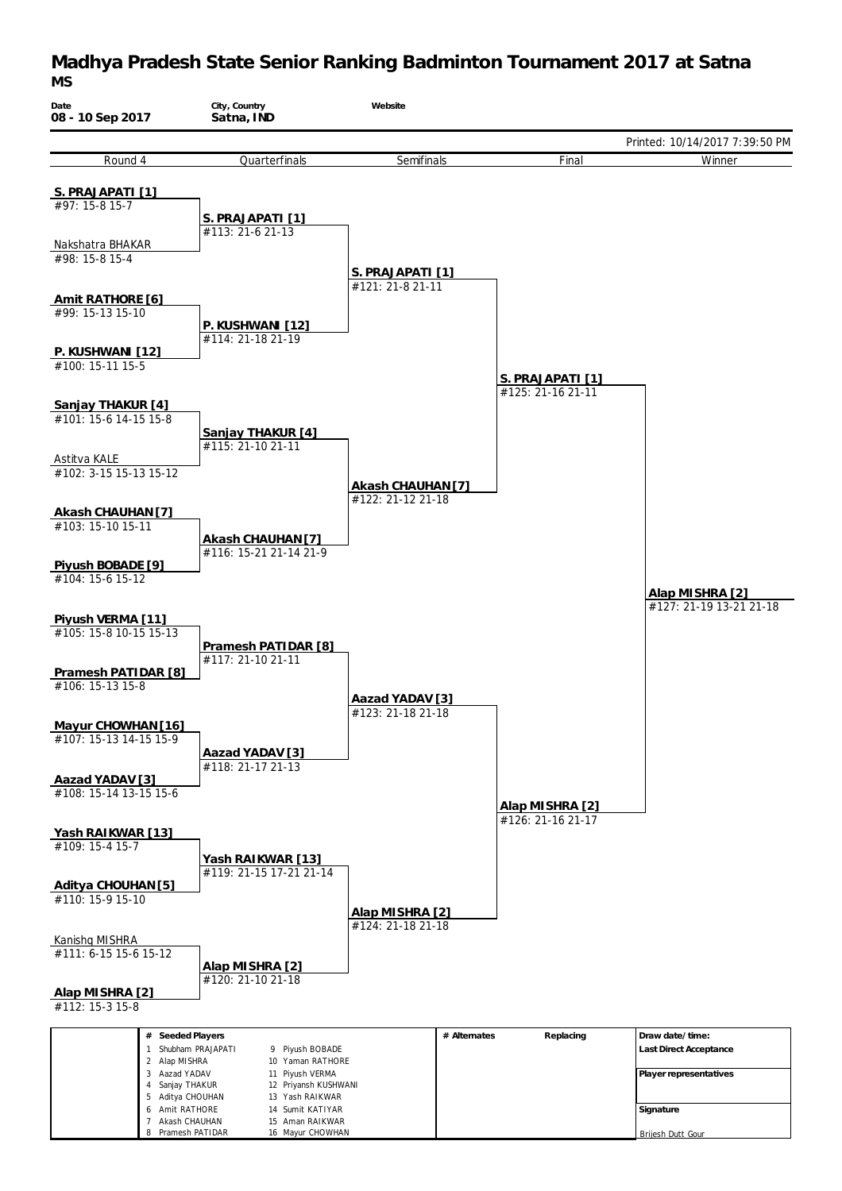#### **Madhya Pradesh State Senior Ranking Badminton Tournament 2017 at Satna** *MS*



Brijesh Dutt Gour

8 Pramesh PATIDAR

16 Mayur CHOWHAN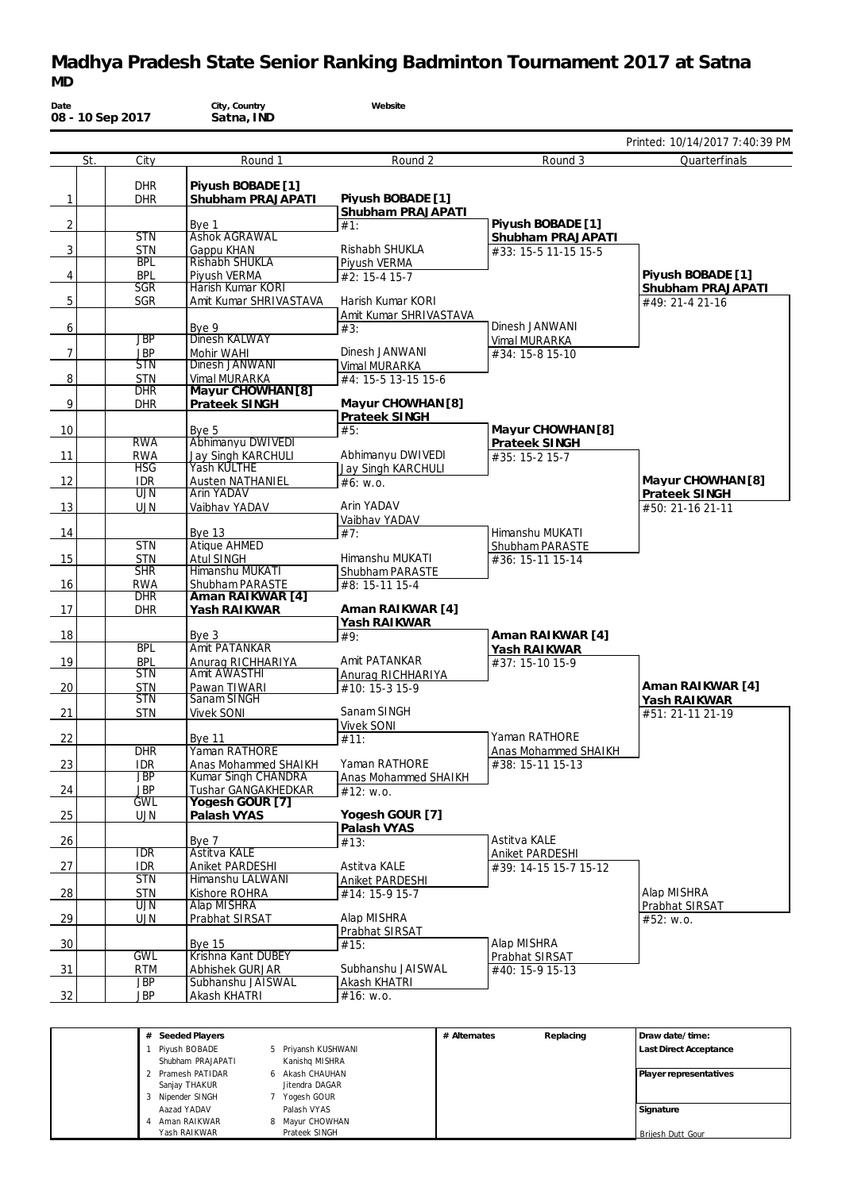### **Madhya Pradesh State Senior Ranking Badminton Tournament 2017 at Satna** *MD*

| Date            | 08 - 10 Sep 2017 |                          | City, Country<br>Satna, IND              | Website                             |                                     |                                        |
|-----------------|------------------|--------------------------|------------------------------------------|-------------------------------------|-------------------------------------|----------------------------------------|
|                 |                  |                          |                                          |                                     |                                     | Printed: 10/14/2017 7:40:39 PM         |
|                 | St.              | City                     | Round 1                                  | Round 2                             | Round 3                             | Quarterfinals                          |
|                 |                  | <b>DHR</b>               | Piyush BOBADE [1]                        |                                     |                                     |                                        |
| $\mathbf{1}$    |                  | <b>DHR</b>               | Shubham PRAJAPATI                        | Piyush BOBADE [1]                   |                                     |                                        |
|                 |                  |                          |                                          | Shubham PRAJAPATI                   | Piyush BOBADE [1]                   |                                        |
| $\overline{2}$  |                  | <b>STN</b>               | Bye 1<br><b>Ashok AGRAWAL</b>            | #1:                                 | Shubham PRAJAPATI                   |                                        |
| $\mathbf{3}$    |                  | STN                      | Gappu KHAN                               | Rishabh SHUKLA                      | #33: 15-5 11-15 15-5                |                                        |
|                 |                  | <b>BPL</b>               | Rishabh SHUKLA                           | Piyush VERMA                        |                                     |                                        |
| $\overline{4}$  |                  | <b>BPL</b><br><b>SGR</b> | Piyush VERMA<br>Harish Kumar KORI        | #2: 15-4 15-7                       |                                     | Piyush BOBADE [1]<br>Shubham PRAJAPATI |
| $\overline{5}$  |                  | <b>SGR</b>               | Amit Kumar SHRIVASTAVA                   | Harish Kumar KORI                   |                                     | #49: 21-4 21-16                        |
|                 |                  |                          |                                          | Amit Kumar SHRIVASTAVA              |                                     |                                        |
| 6               |                  | <b>JBP</b>               | Bye 9<br>Dinesh KALWAY                   | #3:                                 | Dinesh JANWANI                      |                                        |
| $7\overline{ }$ |                  | <b>JBP</b>               | Mohir WAHI                               | Dinesh JANWANI                      | Vimal MURARKA<br>#34: 15-8 15-10    |                                        |
|                 |                  | <b>STN</b>               | Dinesh JANWANI                           | Vimal MURARKA                       |                                     |                                        |
| $\,8\,$         |                  | <b>STN</b>               | Vimal MURARKA                            | #4: 15-5 13-15 15-6                 |                                     |                                        |
|                 |                  | <b>DHR</b>               | Mayur CHOWHAN [8]                        |                                     |                                     |                                        |
| 9               |                  | <b>DHR</b>               | Prateek SINGH                            | Mayur CHOWHAN [8]<br>Prateek SINGH  |                                     |                                        |
| 10 <sup>1</sup> |                  |                          | Bye 5                                    | #5:                                 | Mayur CHOWHAN [8]                   |                                        |
|                 |                  | <b>RWA</b>               | Abhimanyu DWIVEDI                        |                                     | Prateek SINGH                       |                                        |
| 11              |                  | <b>RWA</b>               | Jay Singh KARCHULI                       | Abhimanyu DWIVEDI                   | #35: 15-2 15-7                      |                                        |
|                 |                  | <b>HSG</b>               | Yash KULTHE                              | Jay Singh KARCHULI                  |                                     | Mayur CHOWHAN [8]                      |
| 12              |                  | <b>IDR</b><br>UJN        | <b>Austen NATHANIEL</b><br>Arin YADAV    | #6: W.0.                            |                                     | Prateek SINGH                          |
| 13              |                  | <b>UJN</b>               | Vaibhav YADAV                            | Arin YADAV                          |                                     | #50: 21-16 21-11                       |
|                 |                  |                          |                                          | Vaibhav YADAV                       |                                     |                                        |
| 14              |                  |                          | <b>Bye 13</b>                            | #7:                                 | Himanshu MUKATI                     |                                        |
| 15              |                  | <b>STN</b><br><b>STN</b> | <b>Atique AHMED</b><br><b>Atul SINGH</b> | Himanshu MUKATI                     | Shubham PARASTE<br>#36: 15-11 15-14 |                                        |
|                 |                  | <b>SHR</b>               | Himanshu MUKATI                          | Shubham PARASTE                     |                                     |                                        |
| 16              |                  | RWA                      | Shubham PARASTE                          | #8: 15-11 15-4                      |                                     |                                        |
|                 |                  | <b>DHR</b>               | Aman RAIKWAR [4]                         | Aman RAIKWAR [4]                    |                                     |                                        |
| 17              |                  | <b>DHR</b>               | Yash RAIKWAR                             | Yash RAIKWAR                        |                                     |                                        |
| 18              |                  |                          | Bye $3$                                  | #9:                                 | Aman RAIKWAR [4]                    |                                        |
|                 |                  | <b>BPL</b>               | Amit PATANKAR                            |                                     | Yash RAIKWAR                        |                                        |
| 19              |                  | <b>BPL</b><br><b>STN</b> | Anurag RICHHARIYA<br><b>Amit AWASTHI</b> | Amit PATANKAR                       | #37: 15-10 15-9                     |                                        |
| 20              |                  | <b>STN</b>               | Pawan TIWARI                             | Anurag RICHHARIYA<br>#10: 15-3 15-9 |                                     | Aman RAIKWAR [4]                       |
|                 |                  | <b>STN</b>               | Sanam SINGH                              |                                     |                                     | Yash RAIKWAR                           |
| 21              |                  | <b>STN</b>               | <b>Vivek SONI</b>                        | Sanam SINGH                         |                                     | $#51: 21-11 21-19$                     |
|                 |                  |                          |                                          | <b>Vivek SONI</b>                   | Yaman RATHORE                       |                                        |
| 22              |                  | <b>DHR</b>               | <b>Bye 11</b><br>Yaman RATHORE           | #11:                                | Anas Mohammed SHAIKH                |                                        |
| 23              |                  | <b>IDR</b>               | Anas Mohammed SHAIKH                     | Yaman RATHORE                       | #38: 15-11 15-13                    |                                        |
|                 |                  | $\overline{\text{JBP}}$  | Kumar Singh CHANDRA                      | Anas Mohammed SHAIKH                |                                     |                                        |
| 24              |                  | <b>JBP</b><br><b>GWL</b> | <b>Tushar GANGAKHEDKAR</b>               | #12: W.0.                           |                                     |                                        |
| 25              |                  | <b>UJN</b>               | Yogesh GOUR [7]<br>Palash VYAS           | Yogesh GOUR [7]                     |                                     |                                        |
|                 |                  |                          |                                          | Palash VYAS                         |                                     |                                        |
| 26              |                  |                          | Bye 7                                    | #13:                                | Astitva KALE                        |                                        |
|                 |                  | <b>IDR</b>               | Astitva KALE                             |                                     | Aniket PARDESHI                     |                                        |
| 27              |                  | <b>IDR</b><br><b>STN</b> | Aniket PARDESHI<br>Himanshu LALWANI      | Astitva KALE<br>Aniket PARDESHI     | #39: 14-15 15-7 15-12               |                                        |
| $\frac{28}{1}$  |                  | STN                      | Kishore ROHRA                            | #14: 15-9 15-7                      |                                     | Alap MISHRA                            |
|                 |                  | UJN                      | Alap MISHRA                              |                                     |                                     | Prabhat SIRSAT                         |
| $-29$           |                  | <b>UJN</b>               | Prabhat SIRSAT                           | Alap MISHRA                         |                                     | #52: W.0.                              |
| 30              |                  |                          | <b>Bye 15</b>                            | Prabhat SIRSAT                      | Alap MISHRA                         |                                        |
|                 |                  | <b>GWL</b>               | Krishna Kant DUBEY                       | #15:                                | Prabhat SIRSAT                      |                                        |
| $\frac{31}{2}$  |                  | <b>RTM</b>               | Abhishek GURJAR                          | Subhanshu JAISWAL                   | #40: 15-9 15-13                     |                                        |
| 32              |                  | <b>JBP</b>               | Subhanshu JAISWAL                        | Akash KHATRI                        |                                     |                                        |
|                 |                  | JBP                      | Akash KHATRI                             | #16: w.o.                           |                                     |                                        |

| # Seeded Players                                       |                                                     | # Alternates | Replacing | Draw date/time:                |
|--------------------------------------------------------|-----------------------------------------------------|--------------|-----------|--------------------------------|
| Pivush BOBADE<br>Shubham PRAJAPATI                     | Priyansh KUSHWANI<br>5<br>Kanishg MISHRA            |              |           | Last Direct Acceptance         |
| 2 Pramesh PATIDAR<br>Sanjay THAKUR<br>3 Nipender SINGH | 6 Akash CHAUHAN<br>Jitendra DAGAR<br>Yogesh GOUR    |              |           | Player representatives         |
| Aazad YADAV<br>Aman RAIKWAR<br>Yash RAIKWAR            | Palash VYAS<br>Mayur CHOWHAN<br>8.<br>Prateek SINGH |              |           | Signature<br>Brijesh Dutt Gour |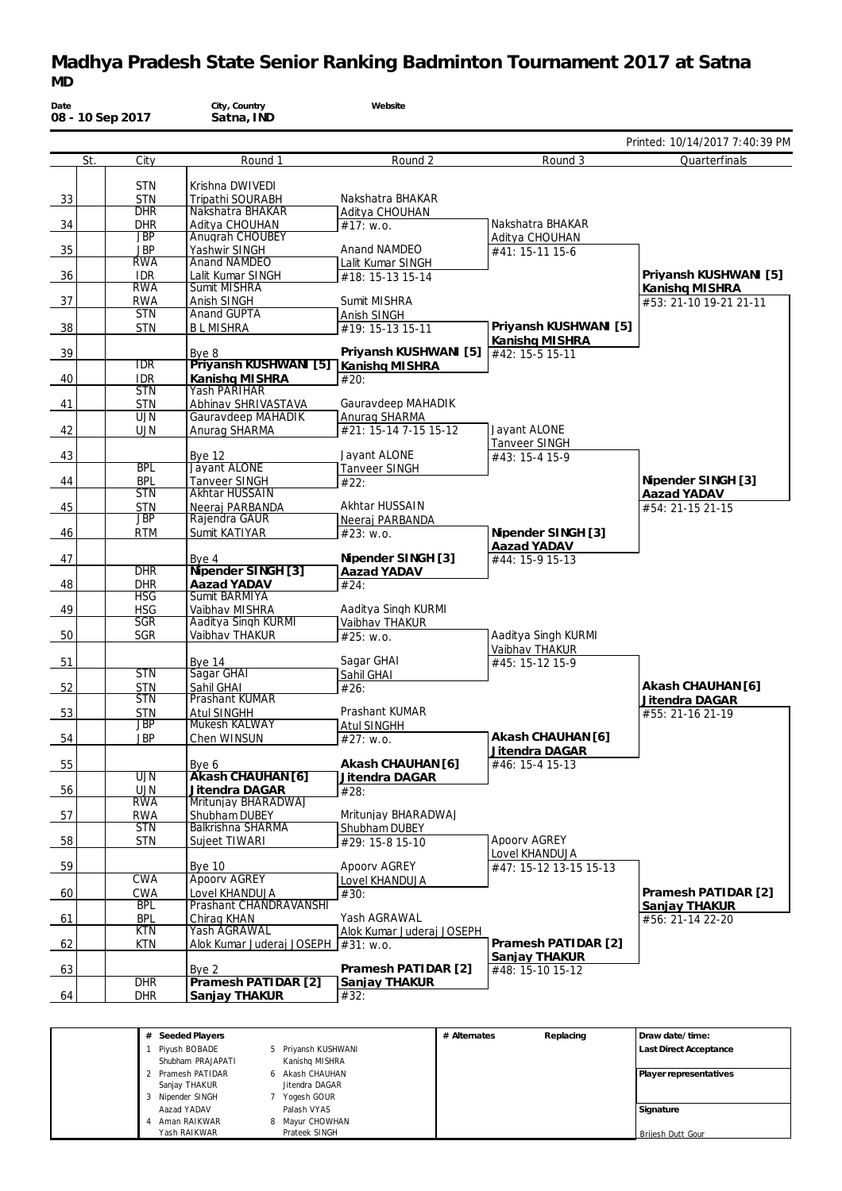### **Madhya Pradesh State Senior Ranking Badminton Tournament 2017 at Satna** *MD*

| Date           | 08 - 10 Sep 2017         | City, Country<br>Satna, IND              | Website                               |                        |                                |
|----------------|--------------------------|------------------------------------------|---------------------------------------|------------------------|--------------------------------|
|                |                          |                                          |                                       |                        | Printed: 10/14/2017 7:40:39 PM |
|                | City<br>St.              | Round 1                                  | Round 2                               | Round 3                | Quarterfinals                  |
|                | <b>STN</b>               | Krishna DWIVEDI                          |                                       |                        |                                |
| 33             | <b>STN</b>               | Tripathi SOURABH                         | Nakshatra BHAKAR                      |                        |                                |
|                | <b>DHR</b>               | Nakshatra BHAKAR                         | Aditya CHOUHAN                        |                        |                                |
| $\frac{34}{ }$ | <b>DHR</b>               | Aditya CHOUHAN                           | #17: W.0.                             | Nakshatra BHAKAR       |                                |
|                | <b>JBP</b>               | Anugrah CHOUBEY                          |                                       | Aditya CHOUHAN         |                                |
| 35             | <b>JBP</b>               | Yashwir SINGH                            | Anand NAMDEO                          | #41: 15-11 15-6        |                                |
| $-36$          | <b>RWA</b><br><b>IDR</b> | <b>Anand NAMDEO</b><br>Lalit Kumar SINGH | Lalit Kumar SINGH<br>#18: 15-13 15-14 |                        | Priyansh KUSHWANI [5]          |
|                | <b>RWA</b>               | Sumit MISHRA                             |                                       |                        | Kanishq MISHRA                 |
| $\frac{37}{2}$ | <b>RWA</b>               | Anish SINGH                              | Sumit MISHRA                          |                        | #53: 21-10 19-21 21-11         |
|                | <b>STN</b>               | Anand GUPTA                              | Anish SINGH                           |                        |                                |
| 38             | <b>STN</b>               | <b>BLMISHRA</b>                          | #19: 15-13 15-11                      | Priyansh KUSHWANI [5]  |                                |
|                |                          |                                          |                                       | Kanishq MISHRA         |                                |
| $\frac{39}{2}$ |                          | Bye 8                                    | Priyansh KUSHWANI [5]                 | #42: 15-5 15-11        |                                |
|                | <b>IDR</b>               | Priyansh KUSHWANI [5] Kanishq MISHRA     |                                       |                        |                                |
| 40             | <b>IDR</b><br><b>STN</b> | Kanishq MISHRA<br>Yash PARIHAR           | #20:                                  |                        |                                |
| 41             | <b>STN</b>               | Abhinav SHRIVASTAVA                      | Gauravdeep MAHADIK                    |                        |                                |
|                | <b>UJN</b>               | Gauravdeep MAHADIK                       | Anurag SHARMA                         |                        |                                |
| 42             | <b>UJN</b>               | Anurag SHARMA                            | #21: 15-14 7-15 15-12                 | Javant ALONE           |                                |
|                |                          |                                          |                                       | Tanveer SINGH          |                                |
| 43             |                          | <b>Bye 12</b>                            | Jayant ALONE                          | #43: 15-4 15-9         |                                |
|                | <b>BPL</b>               | Jayant ALONE                             | <b>Tanveer SINGH</b>                  |                        |                                |
| 44             | <b>BPL</b>               | <b>Tanveer SINGH</b>                     | #22:                                  |                        | Nipender SINGH [3]             |
|                | <b>STN</b>               | <b>Akhtar HUSSAIN</b>                    | Akhtar HUSSAIN                        |                        | Aazad YADAV                    |
| 45             | <b>STN</b><br>JBP        | Neeraj PARBANDA<br>Rajendra GAUR         | Neeraj PARBANDA                       |                        | #54: 21-15 21-15               |
| 46             | <b>RTM</b>               | Sumit KATIYAR                            | #23: W.0.                             | Nipender SINGH [3]     |                                |
|                |                          |                                          |                                       | Aazad YADAV            |                                |
| 47             |                          | Bye 4                                    | Nipender SINGH [3]                    | #44: 15-9 15-13        |                                |
|                | <b>DHR</b>               | Nipender SINGH [3]                       | Aazad YADAV                           |                        |                                |
| 48             | <b>DHR</b>               | Aazad YADAV                              | #24:                                  |                        |                                |
|                | <b>HSG</b>               | Sumit BARMIYA                            |                                       |                        |                                |
| 49             | <b>HSG</b><br><b>SGR</b> | Vaibhav MISHRA<br>Aaditya Singh KURMI    | Aaditya Singh KURMI                   |                        |                                |
| 50             | <b>SGR</b>               | Vaibhav THAKUR                           | Vaibhav THAKUR<br>#25: w.o.           | Aaditya Singh KURMI    |                                |
|                |                          |                                          |                                       | Vaibhav THAKUR         |                                |
| 51             |                          | Bye 14                                   | Sagar GHAI                            | #45: 15-12 15-9        |                                |
|                | <b>STN</b>               | Sagar GHAI                               | Sahil GHAI                            |                        |                                |
| 52             | <b>STN</b>               | Sahil GHAI                               | #26:                                  |                        | Akash CHAUHAN [6]              |
|                | <b>STN</b>               | <b>Prashant KUMAR</b>                    |                                       |                        | Jitendra DAGAR                 |
| 53             | <b>STN</b>               | <b>Atul SINGHH</b>                       | Prashant KUMAR                        |                        | #55: 21-16 21-19               |
|                | <b>JBP</b>               | Mukesh KALWAY                            | <b>Atul SINGHH</b>                    | Akash CHAUHAN [6]      |                                |
| 54             | <b>JBP</b>               | Chen WINSUN                              | #27: w.o.                             | Jitendra DAGAR         |                                |
| 55             |                          | Bye 6                                    | Akash CHAUHAN [6]                     | #46: 15-4 15-13        |                                |
|                | $\overline{\text{UJN}}$  | Akash CHAUHAN [6]                        | Jitendra DAGAR                        |                        |                                |
| 56             | <b>UJN</b>               | Jitendra DAGAR                           | #28:                                  |                        |                                |
|                | <b>RWA</b>               | Mritunjay BHARADWAJ                      |                                       |                        |                                |
| 57             | <b>RWA</b>               | Shubham DUBEY                            | Mritunjay BHARADWAJ                   |                        |                                |
|                | <b>STN</b>               | <b>Balkrishna SHARMA</b>                 | Shubham DUBEY                         |                        |                                |
| 58             | <b>STN</b>               | Sujeet TIWARI                            | #29: 15-8 15-10                       | <b>Apoorv AGREY</b>    |                                |
|                |                          |                                          |                                       | Lovel KHANDUJA         |                                |
| 59             | <b>CWA</b>               | <b>Bye 10</b><br><b>Apoorv AGREY</b>     | Apoory AGREY<br>Lovel KHANDUJA        | #47: 15-12 13-15 15-13 |                                |
| 60             | <b>CWA</b>               | Lovel KHANDUJA                           |                                       |                        | Pramesh PATIDAR [2]            |
|                | <b>BPL</b>               | Prashant CHANDRAVANSHI                   | #30:                                  |                        | Sanjay THAKUR                  |
| 61             | <b>BPL</b>               | Chirag KHAN                              | Yash AGRAWAL                          |                        | #56: 21-14 22-20               |
|                | KTN                      | Yash AGRAWAL                             | Alok Kumar Juderaj JOSEPH             |                        |                                |
| 62             | <b>KTN</b>               | Alok Kumar Juderaj JOSEPH   #31: w.o.    |                                       | Pramesh PATIDAR [2]    |                                |
|                |                          |                                          |                                       | Sanjay THAKUR          |                                |
| 63             |                          | Bye 2                                    | Pramesh PATIDAR [2]                   | #48: 15-10 15-12       |                                |
| 64             | <b>DHR</b>               | Pramesh PATIDAR [2]                      | Sanjay THAKUR                         |                        |                                |
|                | <b>DHR</b>               | Sanjay THAKUR                            | #32:                                  |                        |                                |

| # Seeded Players                                       |                                                  | # Alternates | Replacing | Draw date/time:        |
|--------------------------------------------------------|--------------------------------------------------|--------------|-----------|------------------------|
| Piyush BOBADE<br>Shubham PRAJAPATI                     | 5 Priyansh KUSHWANI<br>Kanishg MISHRA            |              |           | Last Direct Acceptance |
| 2 Pramesh PATIDAR<br>Sanjay THAKUR<br>3 Nipender SINGH | 6 Akash CHAUHAN<br>Jitendra DAGAR<br>Yogesh GOUR |              |           | Player representatives |
| Aazad YADAV<br>Aman RAIKWAR                            | Palash VYAS<br>8 Mayur CHOWHAN                   |              |           | Signature              |
| Yash RAIKWAR                                           | Prateek SINGH                                    |              |           | Briiesh Dutt Gour      |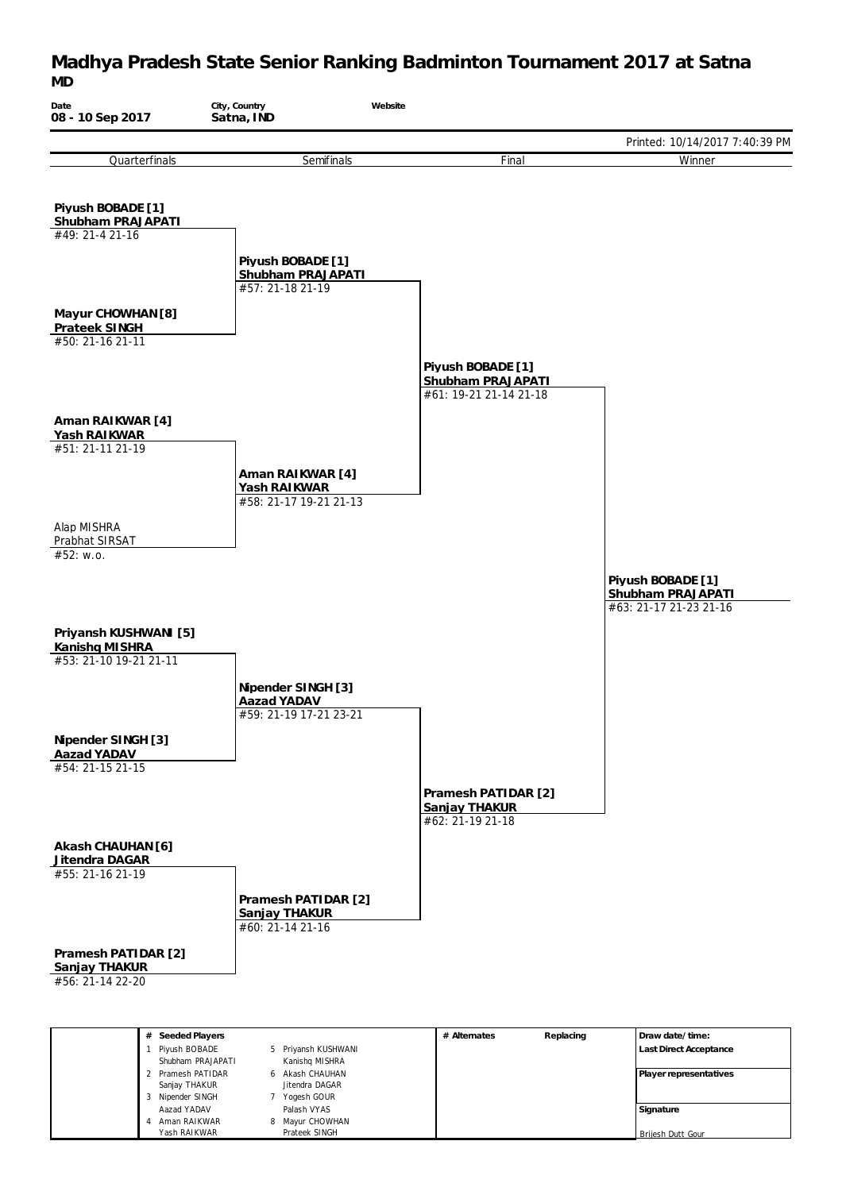#### **Madhya Pradesh State Senior Ranking Badminton Tournament 2017 at Satna** *MD*

| Date<br>08 - 10 Sep 2017                 | City, Country<br>Satna, IND           | Website                                |                                        |
|------------------------------------------|---------------------------------------|----------------------------------------|----------------------------------------|
|                                          |                                       |                                        | Printed: 10/14/2017 7:40:39 PM         |
| Quarterfinals                            | Semifinals                            | Final                                  | Winner                                 |
|                                          |                                       |                                        |                                        |
| Piyush BOBADE [1]                        |                                       |                                        |                                        |
| Shubham PRAJAPATI<br>#49: 21-4 21-16     |                                       |                                        |                                        |
|                                          | Piyush BOBADE [1]                     |                                        |                                        |
|                                          | Shubham PRAJAPATI<br>#57: 21-18 21-19 |                                        |                                        |
| Mayur CHOWHAN [8]                        |                                       |                                        |                                        |
| Prateek SINGH                            |                                       |                                        |                                        |
| #50: 21-16 21-11                         |                                       |                                        |                                        |
|                                          |                                       | Piyush BOBADE [1]<br>Shubham PRAJAPATI |                                        |
|                                          |                                       | #61: 19-21 21-14 21-18                 |                                        |
| Aman RAIKWAR [4]                         |                                       |                                        |                                        |
| Yash RAIKWAR<br>#51: 21-11 21-19         |                                       |                                        |                                        |
|                                          | Aman RAIKWAR [4]                      |                                        |                                        |
|                                          | Yash RAIKWAR                          |                                        |                                        |
|                                          | #58: 21-17 19-21 21-13                |                                        |                                        |
| Alap MISHRA<br>Prabhat SIRSAT            |                                       |                                        |                                        |
| #52: w.o.                                |                                       |                                        |                                        |
|                                          |                                       |                                        | Piyush BOBADE [1]<br>Shubham PRAJAPATI |
|                                          |                                       |                                        | #63: 21-17 21-23 21-16                 |
| Priyansh KUSHWANI [5]                    |                                       |                                        |                                        |
| Kanishq MISHRA<br>#53: 21-10 19-21 21-11 |                                       |                                        |                                        |
|                                          | Nipender SINGH [3]                    |                                        |                                        |
|                                          | Aazad YADAV                           |                                        |                                        |
|                                          | #59: 21-19 17-21 23-21                |                                        |                                        |
| Nipender SINGH [3]<br>Aazad YADAV        |                                       |                                        |                                        |
| #54: 21-15 21-15                         |                                       |                                        |                                        |
|                                          |                                       | Pramesh PATIDAR [2]<br>Sanjay THAKUR   |                                        |
|                                          |                                       | #62: 21-19 21-18                       |                                        |
| Akash CHAUHAN [6]                        |                                       |                                        |                                        |
| Jitendra DAGAR<br>#55: 21-16 21-19       |                                       |                                        |                                        |
|                                          | Pramesh PATIDAR [2]                   |                                        |                                        |
|                                          | Sanjay THAKUR                         |                                        |                                        |
|                                          | #60: 21-14 21-16                      |                                        |                                        |
| Pramesh PATIDAR [2]<br>Sanjay THAKUR     |                                       |                                        |                                        |
| #56: 21-14 22-20                         |                                       |                                        |                                        |
|                                          |                                       |                                        |                                        |

| # Seeded Players    |                     | # Alternates | Replacing | Draw date/time:        |
|---------------------|---------------------|--------------|-----------|------------------------|
| Piyush BOBADE       | 5 Priyansh KUSHWANI |              |           | Last Direct Acceptance |
| Shubham PRAJAPATI   | Kanishq MISHRA      |              |           |                        |
| 2 Pramesh PATIDAR   | 6 Akash CHAUHAN     |              |           | Player representatives |
| Sanjay THAKUR       | Jitendra DAGAR      |              |           |                        |
| Nipender SINGH<br>3 | Yogesh GOUR         |              |           |                        |
| Aazad YADAV         | Palash VYAS         |              |           | Signature              |
| Aman RAIKWAR        | 8 Mayur CHOWHAN     |              |           |                        |
| Yash RAIKWAR        | Prateek SINGH       |              |           | Brijesh Dutt Gour      |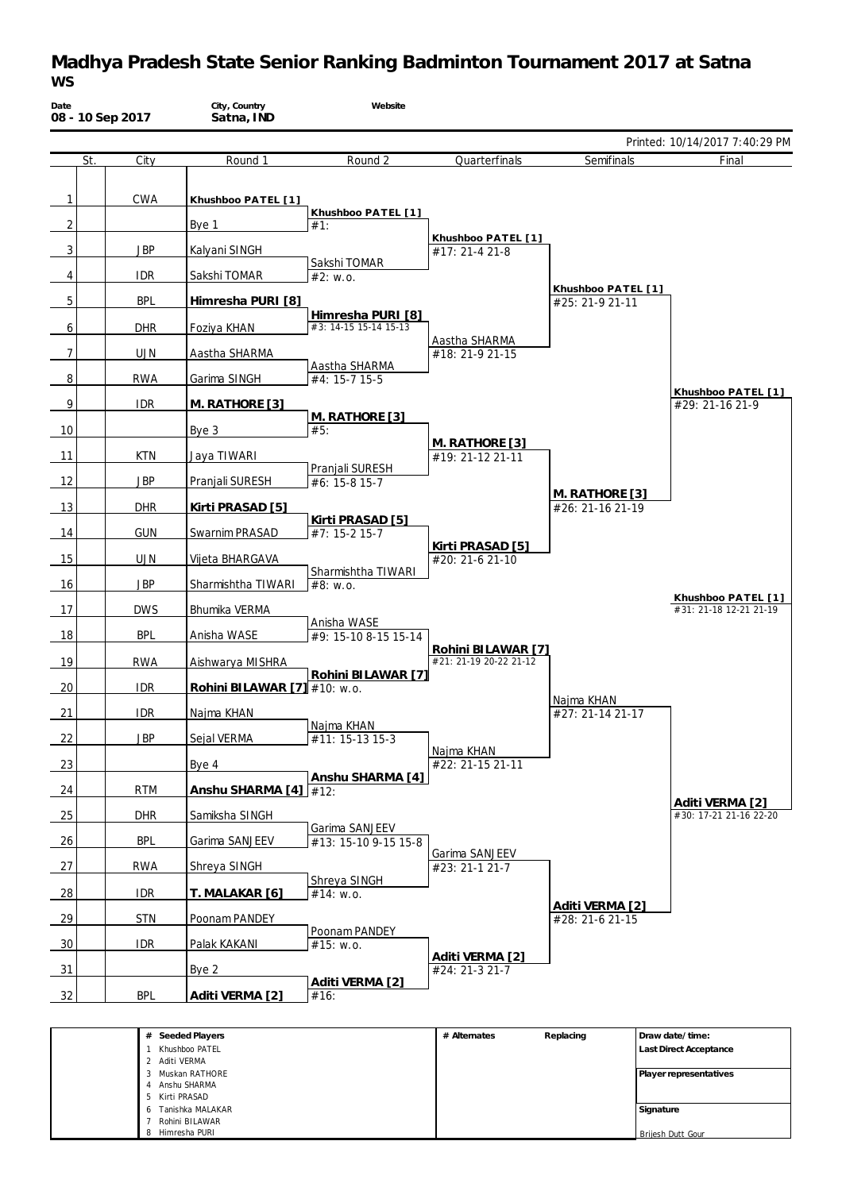## **Madhya Pradesh State Senior Ranking Badminton Tournament 2017 at Satna** *WS*

|                |            |                                |                                     |                                              |                                       | Printed: 10/14/2017 7:40:29 PM               |
|----------------|------------|--------------------------------|-------------------------------------|----------------------------------------------|---------------------------------------|----------------------------------------------|
| St.            | City       | Round 1                        | Round 2                             | Quarterfinals                                | Semifinals                            | Final                                        |
|                |            |                                |                                     |                                              |                                       |                                              |
| $\mathbf{1}$   | CWA        | Khushboo PATEL [1]             |                                     |                                              |                                       |                                              |
| $\overline{2}$ |            | Bye 1                          | Khushboo PATEL [1]<br>#1:           |                                              |                                       |                                              |
| 3              | <b>JBP</b> | Kalyani SINGH                  |                                     | Khushboo PATEL [1]<br>#17: 21-4 21-8         |                                       |                                              |
| 4              | <b>IDR</b> | Sakshi TOMAR                   | Sakshi TOMAR<br>#2: W.0.            |                                              |                                       |                                              |
| 5              | <b>BPL</b> | Himresha PURI [8]              |                                     |                                              | Khushboo PATEL [1]<br>#25: 21-9 21-11 |                                              |
|                |            |                                | Himresha PURI [8]                   |                                              |                                       |                                              |
| 6              | <b>DHR</b> | Foziya KHAN                    | #3: 14-15 15-14 15-13               | Aastha SHARMA                                |                                       |                                              |
| $\overline{7}$ | <b>UJN</b> | Aastha SHARMA                  | Aastha SHARMA                       | #18: 21-9 21-15                              |                                       |                                              |
| $\, 8$         | <b>RWA</b> | Garima SINGH                   | #4: 15-7 15-5                       |                                              |                                       |                                              |
| 9              | <b>IDR</b> | M. RATHORE [3]                 |                                     |                                              |                                       | Khushboo PATEL [1]<br>#29: 21-16 21-9        |
| 10             |            | Bye 3                          | M. RATHORE [3]<br>#5:               |                                              |                                       |                                              |
| 11             | <b>KTN</b> | Jaya TIWARI                    |                                     | M. RATHORE [3]<br>#19: 21-12 21-11           |                                       |                                              |
| 12             | <b>JBP</b> |                                | Pranjali SURESH                     |                                              |                                       |                                              |
|                |            | Pranjali SURESH                | #6: 15-8 15-7                       |                                              | M. RATHORE [3]                        |                                              |
| 13             | <b>DHR</b> | Kirti PRASAD [5]               | Kirti PRASAD [5]                    |                                              | #26: 21-16 21-19                      |                                              |
| 14             | <b>GUN</b> | Swarnim PRASAD                 | #7: 15-2 15-7                       | Kirti PRASAD [5]                             |                                       |                                              |
| 15             | <b>UJN</b> | Vijeta BHARGAVA                |                                     | #20: 21-6 21-10                              |                                       |                                              |
| -16            | JBP        | Sharmishtha TIWARI             | Sharmishtha TIWARI<br>#8: w.o.      |                                              |                                       |                                              |
| 17             | <b>DWS</b> | Bhumika VERMA                  |                                     |                                              |                                       | Khushboo PATEL [1]<br>#31: 21-18 12-21 21-19 |
| 18             | <b>BPL</b> | Anisha WASE                    | Anisha WASE<br>#9: 15-10 8-15 15-14 |                                              |                                       |                                              |
|                |            |                                |                                     | Rohini BILAWAR [7]<br>#21: 21-19 20-22 21-12 |                                       |                                              |
| 19             | <b>RWA</b> | Aishwarya MISHRA               | Rohini BILAWAR [7]                  |                                              |                                       |                                              |
| 20             | <b>IDR</b> | Rohini BILAWAR $[7]$ #10: w.o. |                                     |                                              | Najma KHAN                            |                                              |
| 21             | <b>IDR</b> | Najma KHAN                     | Najma KHAN                          |                                              | #27: 21-14 21-17                      |                                              |
| 22             | <b>JBP</b> | Sejal VERMA                    | #11: 15-13 15-3                     |                                              |                                       |                                              |
| 23             |            | Bye 4                          |                                     | Najma KHAN<br>#22: 21-15 21-11               |                                       |                                              |
| 24             | <b>RTM</b> | Anshu SHARMA [4] #12:          | Anshu SHARMA [4]                    |                                              |                                       |                                              |
| 25             | <b>DHR</b> | Samiksha SINGH                 |                                     |                                              |                                       | Aditi VERMA [2]<br>#30: 17-21 21-16 22-20    |
|                |            |                                | Garima SANJEEV                      |                                              |                                       |                                              |
| 26             | <b>BPL</b> | Garima SANJEEV                 | #13: 15-10 9-15 15-8                | Garima SANJEEV                               |                                       |                                              |
| 27             | <b>RWA</b> | Shreya SINGH                   | Shreya SINGH                        | #23: 21-1 21-7                               |                                       |                                              |
| 28             | <b>IDR</b> | T. MALAKAR [6]                 | #14: w.o.                           |                                              |                                       |                                              |
| 29             | <b>STN</b> | Poonam PANDEY                  |                                     |                                              | Aditi VERMA [2]<br>#28: 21-6 21-15    |                                              |
| 30             | <b>IDR</b> | Palak KAKANI                   | Poonam PANDEY<br>#15: w.o.          |                                              |                                       |                                              |
| 31             |            | Bye 2                          |                                     | Aditi VERMA [2]<br>#24: 21-3 21-7            |                                       |                                              |
|                |            |                                | Aditi VERMA [2]                     |                                              |                                       |                                              |
| 32             | <b>BPL</b> | Aditi VERMA [2]                | #16:                                |                                              |                                       |                                              |

 Aditi VERMA Muskan RATHORE Anshu SHARMA Kirti PRASAD Tanishka MALAKAR Rohini BILAWAR Himresha PURI **Player representatives Signature** Brijesh Dutt Gour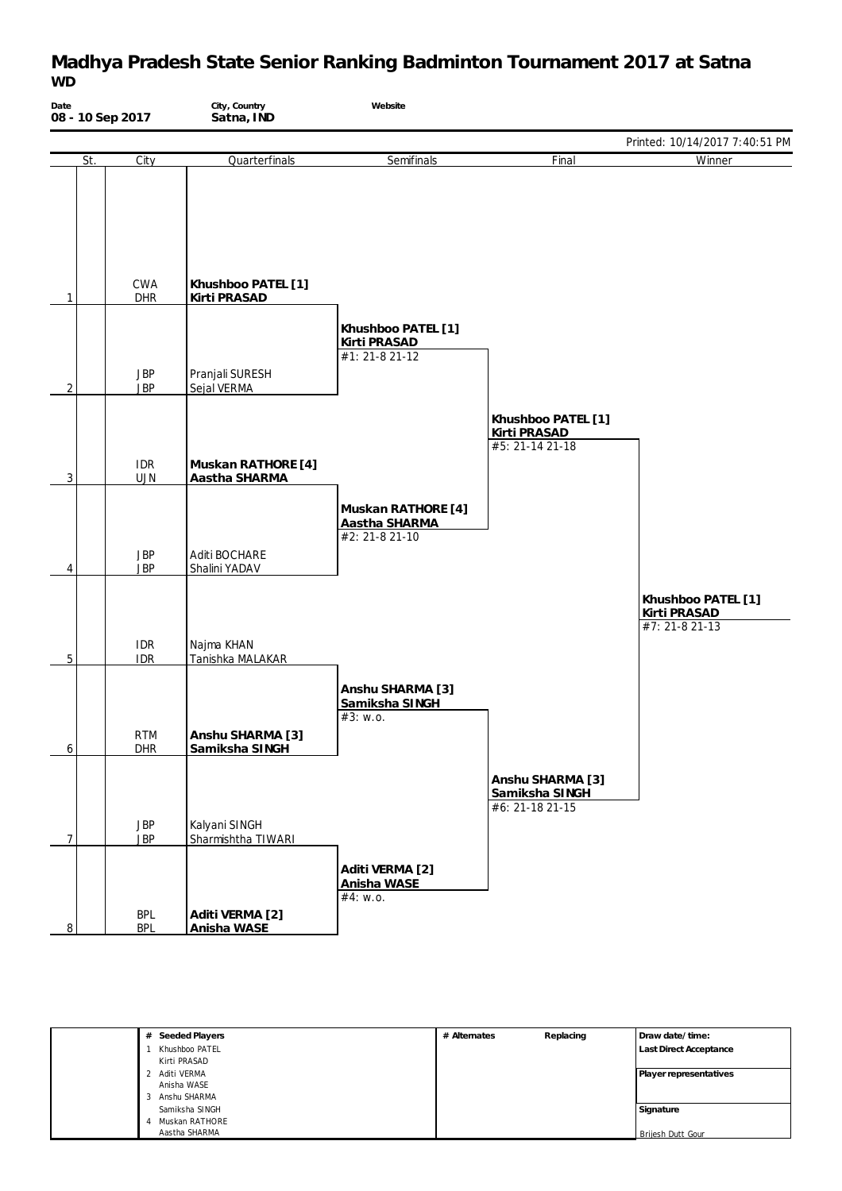### **Madhya Pradesh State Senior Ranking Badminton Tournament 2017 at Satna** *WD*

| Date<br>08 - 10 Sep 2017 |                          | City, Country<br>Satna, IND          | Website                                               |                                                       |                                                      |
|--------------------------|--------------------------|--------------------------------------|-------------------------------------------------------|-------------------------------------------------------|------------------------------------------------------|
|                          |                          |                                      |                                                       |                                                       | Printed: 10/14/2017 7:40:51 PM                       |
| St.                      | City                     | Quarterfinals                        | Semifinals                                            | Final                                                 | Winner                                               |
| $\mathbf{1}$             | CWA<br>DHR               | Khushboo PATEL [1]<br>Kirti PRASAD   |                                                       |                                                       |                                                      |
| $\overline{2}$           | <b>JBP</b><br><b>JBP</b> | Pranjali SURESH<br>Sejal VERMA       | Khushboo PATEL [1]<br>Kirti PRASAD<br>#1: 21-8 21-12  |                                                       |                                                      |
| $\mathbf{3}$             | <b>IDR</b><br><b>UJN</b> | Muskan RATHORE [4]<br>Aastha SHARMA  |                                                       | Khushboo PATEL [1]<br>Kirti PRASAD<br>#5: 21-14 21-18 |                                                      |
| 4                        | <b>JBP</b><br><b>JBP</b> | Aditi BOCHARE<br>Shalini YADAV       | Muskan RATHORE [4]<br>Aastha SHARMA<br>#2: 21-8 21-10 |                                                       |                                                      |
|                          | <b>IDR</b>               | Najma KHAN                           |                                                       |                                                       | Khushboo PATEL [1]<br>Kirti PRASAD<br>#7: 21-8 21-13 |
| $5\,$                    | <b>IDR</b><br>RTM        | Tanishka MALAKAR<br>Anshu SHARMA [3] | Anshu SHARMA [3]<br>Samiksha SINGH<br>#3: w.o.        |                                                       |                                                      |
| $\ddot{\mathbf{6}}$      | DHR                      | Samiksha SINGH                       |                                                       | Anshu SHARMA [3]<br>Samiksha SINGH<br>#6: 21-18 21-15 |                                                      |
| $\overline{7}$           | <b>JBP</b><br><b>JBP</b> | Kalyani SINGH<br>Sharmishtha TIWARI  |                                                       |                                                       |                                                      |
| 8                        | <b>BPL</b><br><b>BPL</b> | Aditi VERMA [2]<br>Anisha WASE       | Aditi VERMA [2]<br>Anisha WASE<br>#4: w.o.            |                                                       |                                                      |

| Seeded Players<br># | # Alternates | Replacing | Draw date/time:               |
|---------------------|--------------|-----------|-------------------------------|
| Khushboo PATEL      |              |           | <b>Last Direct Acceptance</b> |
| Kirti PRASAD        |              |           |                               |
| Aditi VERMA         |              |           | Player representatives        |
| Anisha WASE         |              |           |                               |
| Anshu SHARMA        |              |           |                               |
| Samiksha SINGH      |              |           | Signature                     |
| Muskan RATHORE      |              |           |                               |
| Aastha SHARMA       |              |           | Brijesh Dutt Gour             |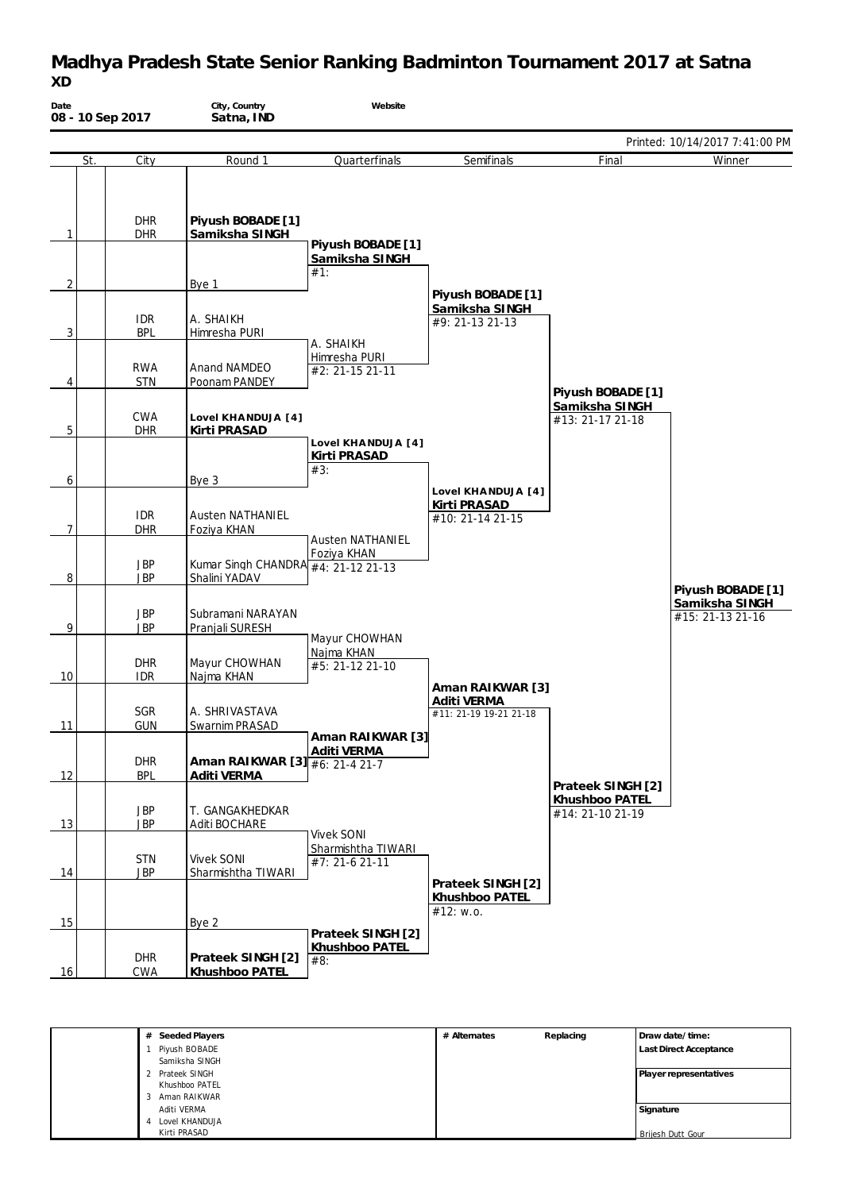### **Madhya Pradesh State Senior Ranking Badminton Tournament 2017 at Satna** *XD*

| Date<br>08 - 10 Sep 2017 |                          | City, Country<br>Satna, IND                          | Website                                                   |                                                           |                                    |                                                         |
|--------------------------|--------------------------|------------------------------------------------------|-----------------------------------------------------------|-----------------------------------------------------------|------------------------------------|---------------------------------------------------------|
|                          |                          |                                                      |                                                           |                                                           |                                    | Printed: 10/14/2017 7:41:00 PM                          |
| St.                      | City                     | Round 1                                              | Quarterfinals                                             | Semifinals                                                | Final                              | Winner                                                  |
| 1                        | <b>DHR</b><br><b>DHR</b> | Piyush BOBADE [1]<br>Samiksha SINGH                  | Piyush BOBADE [1]<br>Samiksha SINGH                       |                                                           |                                    |                                                         |
| 2                        |                          |                                                      | #1:                                                       |                                                           |                                    |                                                         |
| 3                        | <b>IDR</b><br><b>BPL</b> | Bye 1<br>A. SHAIKH<br>Himresha PURI                  | A. SHAIKH                                                 | Piyush BOBADE [1]<br>Samiksha SINGH<br>#9: 21-13 21-13    |                                    |                                                         |
| 4                        | <b>RWA</b><br><b>STN</b> | Anand NAMDEO<br>Poonam PANDEY                        | Himresha PURI<br>#2: 21-15 21-11                          |                                                           | Piyush BOBADE [1]                  |                                                         |
| 5                        | <b>CWA</b><br><b>DHR</b> | Lovel KHANDUJA [4]<br>Kirti PRASAD                   |                                                           |                                                           | Samiksha SINGH<br>#13: 21-17 21-18 |                                                         |
| 6                        |                          | Bye 3                                                | Lovel KHANDUJA [4]<br>Kirti PRASAD<br>#3:                 | Lovel KHANDUJA [4]                                        |                                    |                                                         |
| 7                        | <b>IDR</b><br><b>DHR</b> | <b>Austen NATHANIEL</b><br>Foziya KHAN               | <b>Austen NATHANIEL</b>                                   | Kirti PRASAD<br>#10: 21-14 21-15                          |                                    |                                                         |
| 8                        | JBP<br><b>JBP</b>        | Kumar Singh CHANDRA #4: 21-12 21-13<br>Shalini YADAV | Foziya KHAN                                               |                                                           |                                    |                                                         |
| 9                        | <b>JBP</b><br><b>JBP</b> | Subramani NARAYAN<br>Pranjali SURESH                 | Mayur CHOWHAN                                             |                                                           |                                    | Piyush BOBADE [1]<br>Samiksha SINGH<br>#15: 21-13 21-16 |
| 10                       | <b>DHR</b><br><b>IDR</b> | Mayur CHOWHAN<br>Najma KHAN                          | Najma KHAN<br>#5: 21-12 21-10                             |                                                           |                                    |                                                         |
| 11                       | <b>SGR</b><br><b>GUN</b> | A. SHRIVASTAVA<br>Swarnim PRASAD                     |                                                           | Aman RAIKWAR [3]<br>Aditi VERMA<br>#11: 21-19 19-21 21-18 |                                    |                                                         |
| 12                       | <b>DHR</b><br><b>BPL</b> | Aman RAIKWAR [3] #6: 21-4 21-7<br>Aditi VERMA        | Aman RAIKWAR [3]<br>Aditi VERMA                           |                                                           | Prateek SINGH [2]                  |                                                         |
| 13                       | <b>JBP</b><br><b>JBP</b> | T. GANGAKHEDKAR<br>Aditi BOCHARE                     |                                                           |                                                           | Khushboo PATEL<br>#14: 21-10 21-19 |                                                         |
| 14                       | <b>STN</b><br><b>JBP</b> | <b>Vivek SONI</b><br>Sharmishtha TIWARI              | <b>Vivek SONI</b><br>Sharmishtha TIWARI<br>#7: 21-6 21-11 | Prateek SINGH [2]                                         |                                    |                                                         |
| 15                       |                          | Bye 2                                                |                                                           | Khushboo PATEL<br>#12: w.o.                               |                                    |                                                         |
| 16                       | <b>DHR</b><br><b>CWA</b> | Prateek SINGH [2]<br>Khushboo PATEL                  | Prateek SINGH [2]<br>Khushboo PATEL<br>#8:                |                                                           |                                    |                                                         |

| # Seeded Players | # Alternates | Replacing | Draw date/time:        |
|------------------|--------------|-----------|------------------------|
| Piyush BOBADE    |              |           | Last Direct Acceptance |
| Samiksha SINGH   |              |           |                        |
| 2 Prateek SINGH  |              |           | Player representatives |
| Khushboo PATEL   |              |           |                        |
| 3 Aman RAIKWAR   |              |           |                        |
| Aditi VERMA      |              |           | Signature              |
| Lovel KHANDUJA   |              |           |                        |
| Kirti PRASAD     |              |           | Brijesh Dutt Gour      |